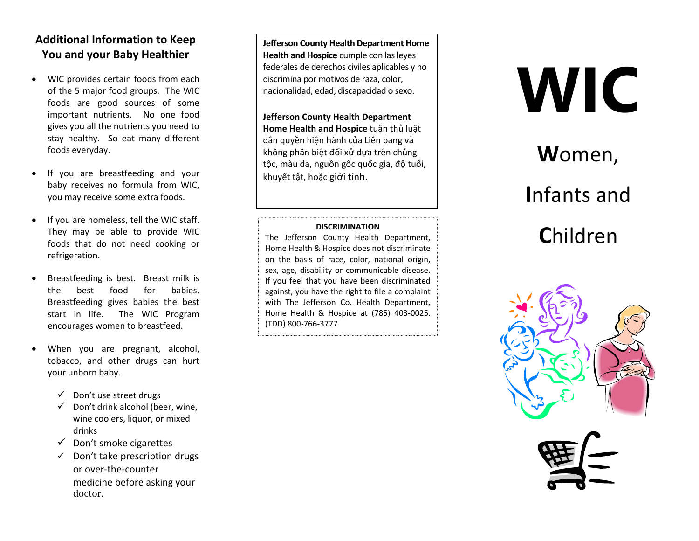#### **Additional Information to Keep** You and your Baby Healthier

- WIC provides certain foods from each  $\bullet$ of the 5 major food groups. The WIC foods are good sources of some important nutrients. No one food gives you all the nutrients you need to stay healthy. So eat many different foods everyday.
- If you are breastfeeding and your  $\bullet$ baby receives no formula from WIC. you may receive some extra foods.
- $\bullet$ If you are homeless, tell the WIC staff. They may be able to provide WIC foods that do not need cooking or refrigeration.
- Breastfeeding is best. Breast milk is  $\bullet$ for the hest food babies. Breastfeeding gives babies the best start in life. The WIC Program encourages women to breastfeed.
- When you are pregnant, alcohol, tobacco, and other drugs can hurt your unborn baby.
	- ← Don't use street drugs
	- $\checkmark$ Don't drink alcohol (beer, wine, wine coolers, liquor, or mixed drinks
	- $\checkmark$  Don't smoke cigarettes
	- Don't take prescription drugs  $\checkmark$ or over-the-counter medicine before asking your doctor.

**Jefferson County Health Department Home** Health and Hospice cumple con las leyes federales de derechos civiles aplicables y no discrimina por motivos de raza, color, nacionalidad, edad, discapacidad o sexo.

**Jefferson County Health Department** Home Health and Hospice tuân thủ luật dân quyền hiện hành của Liên bang và không phân biệt đối xử dựa trên chủng tộc, màu da, nguồn gốc quốc gia, độ tuổi, khuyết tật, hoặc giới tính.

#### **DISCRIMINATION**

The Jefferson County Health Department, Home Health & Hospice does not discriminate on the basis of race, color, national origin, sex, age, disability or communicable disease. If you feel that you have been discriminated against, you have the right to file a complaint with The Jefferson Co. Health Department, Home Health & Hospice at (785) 403-0025. (TDD) 800-766-3777

# **WIC**

## Women,

## Infants and Children